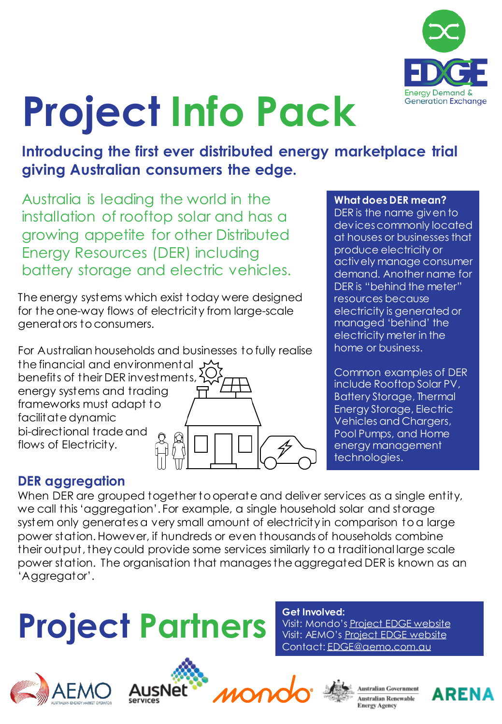

# **Project Info Pack**

**Introducing the first ever distributed energy marketplace trial giving Australian consumers the edge.**

Australia is leading the world in the installation of rooftop solar and has a growing appetite for other Distributed Energy Resources (DER) including battery storage and electric vehicles.

The energy systems which exist today were designed for the one-way flows of electricity from large-scale generators to consumers.

For Australian households and businesses to fully realise the financial and environmental  $\mathcal{Y}$ benefits of their DER investments, energy systems and trading frameworks must adapt to facilitate dynamic

bi-directional trade and flows of Electricity.



#### **What does DER mean?**

DER is the name given to devices commonly located at houses or businesses that produce electricity or actively manage consumer demand. Another name for DER is "behind the meter" resources because electricity is generated or managed 'behind' the electricity meter in the home or business.

Common examples of DER include Rooftop Solar PV, Battery Storage, Thermal Energy Storage, Electric Vehicles and Chargers, Pool Pumps, and Home energy management technologies.

### **DER aggregation**

When DER are grouped together to operate and deliver services as a single entity, we call this 'aggregation'. For example, a single household solar and storage system only generates a very small amount of electricity in comparison to a large power station. However, if hundreds or even thousands of households combine their output, they could provide some services similarly to a traditional large scale power station. The organisation that manages the aggregated DER is known as an 'Aggregator'.

### **Project Partners Wisit: Mondo's**









Contact: [EDGE@aemo.com.au](mailto:EDGA@aemo.com.au)

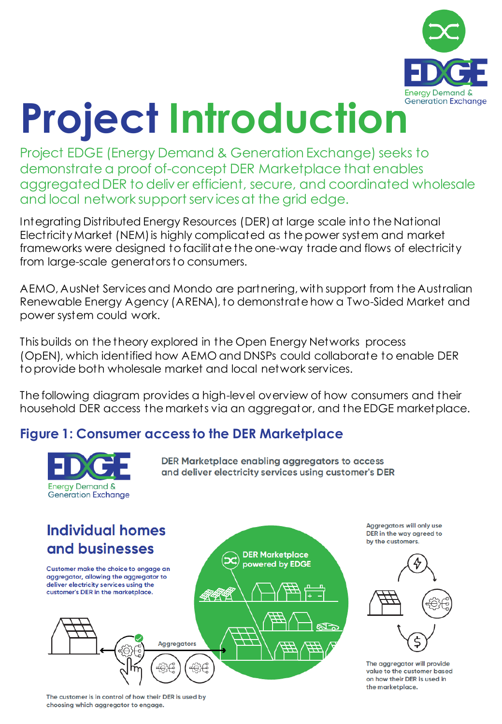

### Project Introduction **Exchange**

Project EDGE (Energy Demand & Generation Exchange) seeks to demonstrate a proof of-concept DER Marketplace that enables aggregated DER to deliver efficient, secure, and coordinated wholesale and local network support services at the grid edge.

Integrating Distributed Energy Resources (DER) at large scale into the National Electricity Market (NEM) is highly complicated as the power system and market frameworks were designed to facilitate the one-way trade and flows of electricity from large-scale generators to consumers.

AEMO, AusNet Services and Mondo are partnering, with support from the Australian Renewable Energy Agency (ARENA), to demonstrate how a Two-Sided Market and power system could work.

This builds on the theory explored in the Open Energy Networks process (OpEN), which identified how AEMO and DNSPs could collaborate to enable DER toprovide both wholesale market and local network services.

The following diagram provides a high-level overview of how consumers and their household DER access the markets via an aggregator, and the EDGE marketplace.

### **Figure 1: Consumer access to the DER Marketplace**



**Aggregators will only use** DER in the way agreed to by the customers.



The aggregator will provide value to the customer based on how their DER is used in the marketplace.

The customer is in control of how their DER is used by choosing which aggregator to engage.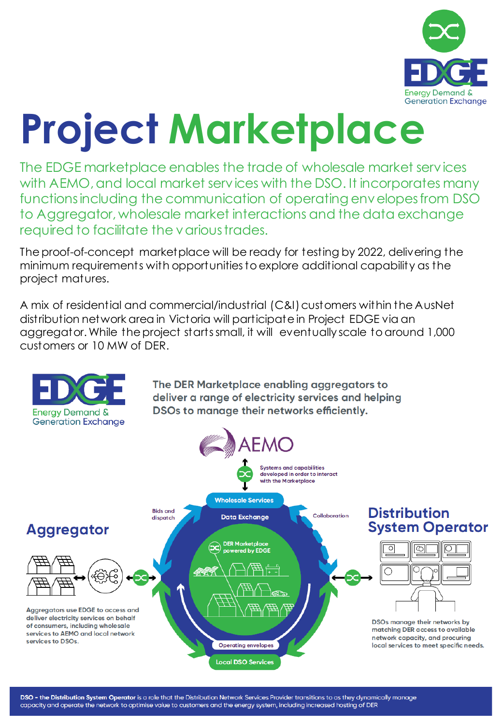

### **Project Marketplace**

The EDGE marketplace enables the trade of wholesale market services with AEMO, and local market services with the DSO. It incorporates many functions including the communication of operating envelopes from DSO to Aggregator, wholesale market interactions and the data exchange required to facilitate the various trades.

The proof-of-concept marketplace will be ready for testing by 2022, delivering the minimum requirements with opportunities to explore additional capability as the project matures.

A mix of residential and commercial/industrial (C&I) customers within the AusNet distribution network area in Victoria will participate in Project EDGE via an aggregator. While the project starts small, it will eventually scale to around 1,000 customers or 10 MW of DER.



DSO - the Distribution System Operator is a role that the Distribution Network Services Provider transitions to as they dynamically manage capacity and operate the network to optimise value to customers and the energy system, including increased hosting of DER